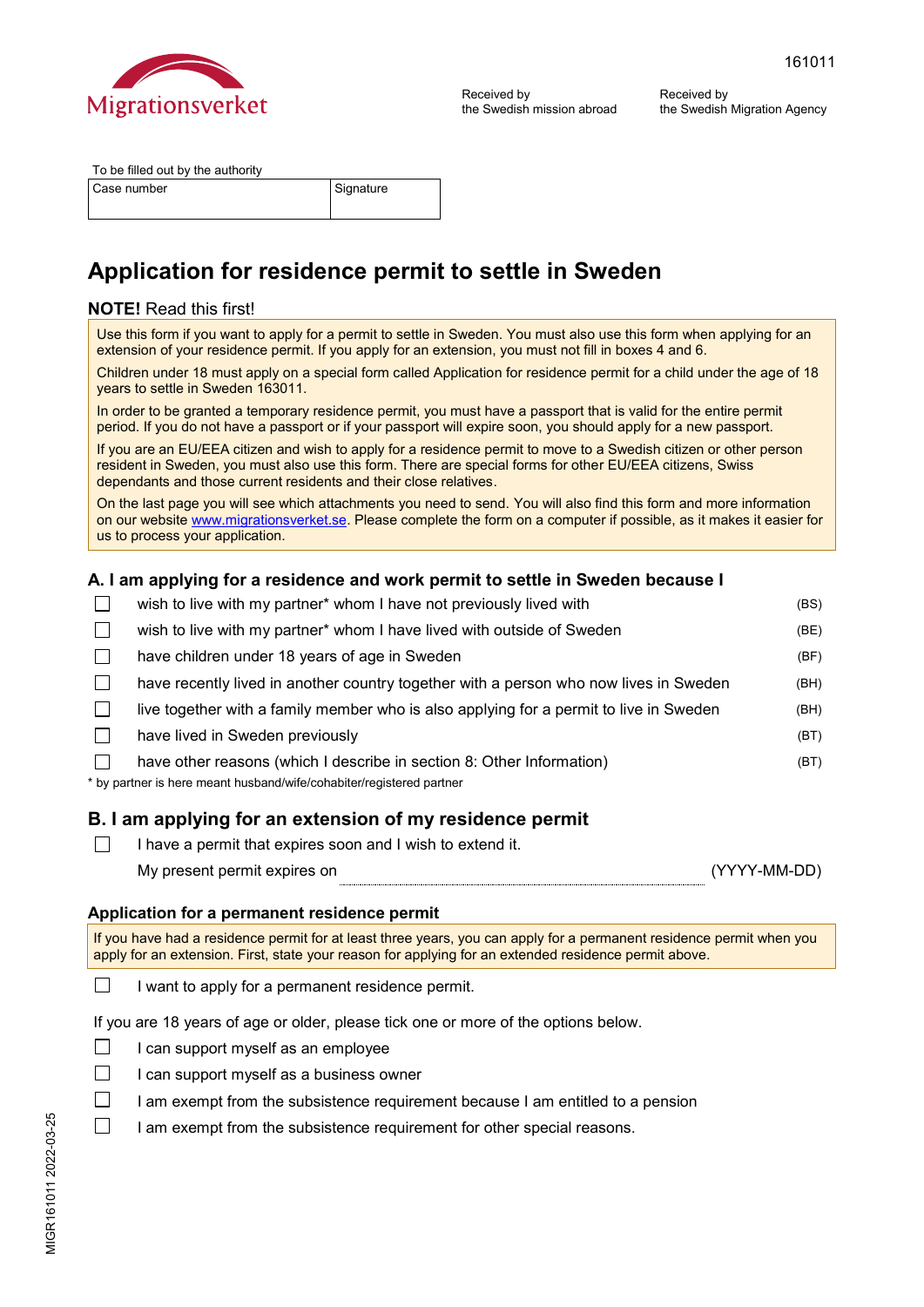

Received by the Swedish Migration Agency

| To be filled out by the authority |           |
|-----------------------------------|-----------|
| Case number                       | Signature |

# **Application for residence permit to settle in Sweden**

## **NOTE!** Read this first!

Use this form if you want to apply for a permit to settle in Sweden. You must also use this form when applying for an extension of your residence permit. If you apply for an extension, you must not fill in boxes 4 and 6.

Children under 18 must apply on a special form called Application for residence permit for a child under the age of 18 years to settle in Sweden 163011.

In order to be granted a temporary residence permit, you must have a passport that is valid for the entire permit period. If you do not have a passport or if your passport will expire soon, you should apply for a new passport.

If you are an EU/EEA citizen and wish to apply for a residence permit to move to a Swedish citizen or other person resident in Sweden, you must also use this form. There are special forms for other EU/EEA citizens, Swiss dependants and those current residents and their close relatives.

On the last page you will see which attachments you need to send. You will also find this form and more information on our websit[e www.migrationsverket.se. P](https://www.migrationsverket.se/)lease complete the form on a computer if possible, as it makes it easier for us to process your application.

## **A. I am applying for a residence and work permit to settle in Sweden because I**

| wish to live with my partner* whom I have not previously lived with                                                                           | (BS) |
|-----------------------------------------------------------------------------------------------------------------------------------------------|------|
| wish to live with my partner* whom I have lived with outside of Sweden                                                                        | (BE) |
| have children under 18 years of age in Sweden                                                                                                 | (BF) |
| have recently lived in another country together with a person who now lives in Sweden                                                         | (BH) |
| live together with a family member who is also applying for a permit to live in Sweden                                                        | (BH) |
| have lived in Sweden previously                                                                                                               | (BT) |
| have other reasons (which I describe in section 8: Other Information)<br>* by partner is here meant husband/wife/cohabiter/registered partner | (BT) |
|                                                                                                                                               |      |

## **B. I am applying for an extension of my residence permit**

- $\Box$ I have a permit that expires soon and I wish to extend it.
	- My present permit expires on (YYYY-MM-DD)

## **Application for a permanent residence permit**

If you have had a residence permit for at least three years, you can apply for a permanent residence permit when you apply for an extension. First, state your reason for applying for an extended residence permit above.

 $\Box$ I want to apply for a permanent residence permit.

If you are 18 years of age or older, please tick one or more of the options below.

- $\Box$ I can support myself as an employee
- $\Box$ I can support myself as a business owner
- $\Box$ I am exempt from the subsistence requirement because I am entitled to a pension
- $\Box$ I am exempt from the subsistence requirement for other special reasons.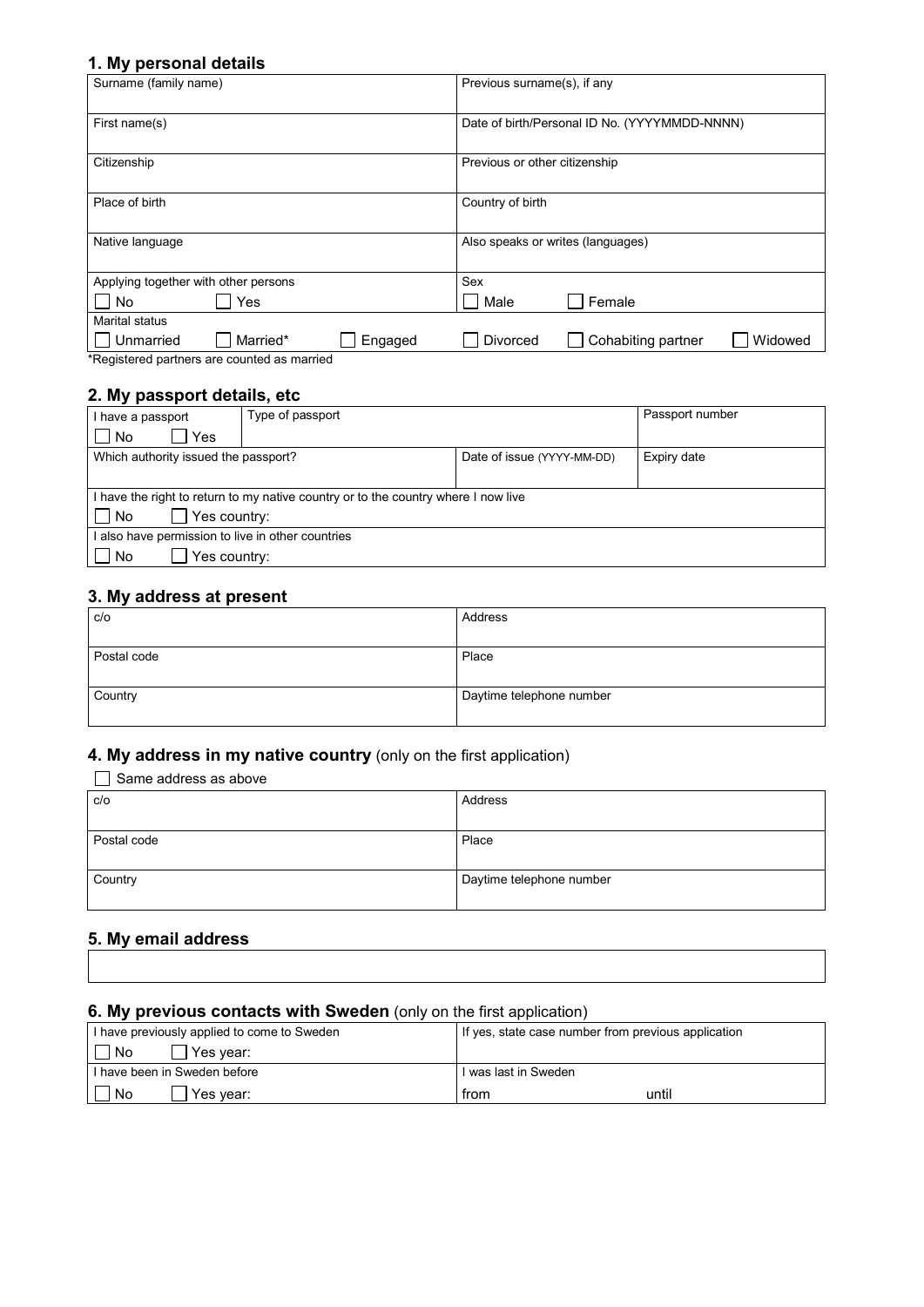# **1. My personal details**

| Surname (family name)                                                     | Previous surname(s), if any                      |
|---------------------------------------------------------------------------|--------------------------------------------------|
| First name(s)                                                             | Date of birth/Personal ID No. (YYYYMMDD-NNNN)    |
| Citizenship                                                               | Previous or other citizenship                    |
| Place of birth                                                            | Country of birth                                 |
| Native language                                                           | Also speaks or writes (languages)                |
| Applying together with other persons                                      | Sex                                              |
| Yes<br><b>No</b>                                                          | Female<br>Male                                   |
| Marital status                                                            |                                                  |
| Married*<br>Engaged<br>Unmarried<br>.<br>$\cdot$ $\cdot$<br>$\sim$ $\sim$ | Cohabiting partner<br><b>Divorced</b><br>Widowed |

\*Registered partners are counted as married

## **2. My passport details, etc**

| I have a passport                                                                  | Type of passport |                            | Passport number |
|------------------------------------------------------------------------------------|------------------|----------------------------|-----------------|
| l No<br>Yes                                                                        |                  |                            |                 |
| Which authority issued the passport?                                               |                  | Date of issue (YYYY-MM-DD) | Expiry date     |
|                                                                                    |                  |                            |                 |
| I have the right to return to my native country or to the country where I now live |                  |                            |                 |
| Yes country:<br>  No                                                               |                  |                            |                 |
| l also have permission to live in other countries                                  |                  |                            |                 |
| Yes country:<br>$\Box$ No                                                          |                  |                            |                 |

# **3. My address at present**

| c/o         | Address                  |
|-------------|--------------------------|
|             |                          |
| Postal code | Place                    |
|             |                          |
| Country     | Daytime telephone number |
|             |                          |

# **4. My address in my native country** (only on the first application)

| Same address as above |                          |
|-----------------------|--------------------------|
| c/o                   | Address                  |
|                       |                          |
| Postal code           | Place                    |
|                       |                          |
| Country               | Daytime telephone number |
|                       |                          |

## **5. My email address**

# **6. My previous contacts with Sweden** (only on the first application)

| I have previously applied to come to Sweden | If yes, state case number from previous application |
|---------------------------------------------|-----------------------------------------------------|
| No<br>Yes vear:                             |                                                     |
| I have been in Sweden before                | l was last in Sweden                                |
| No<br>Yes year:                             | until<br>from                                       |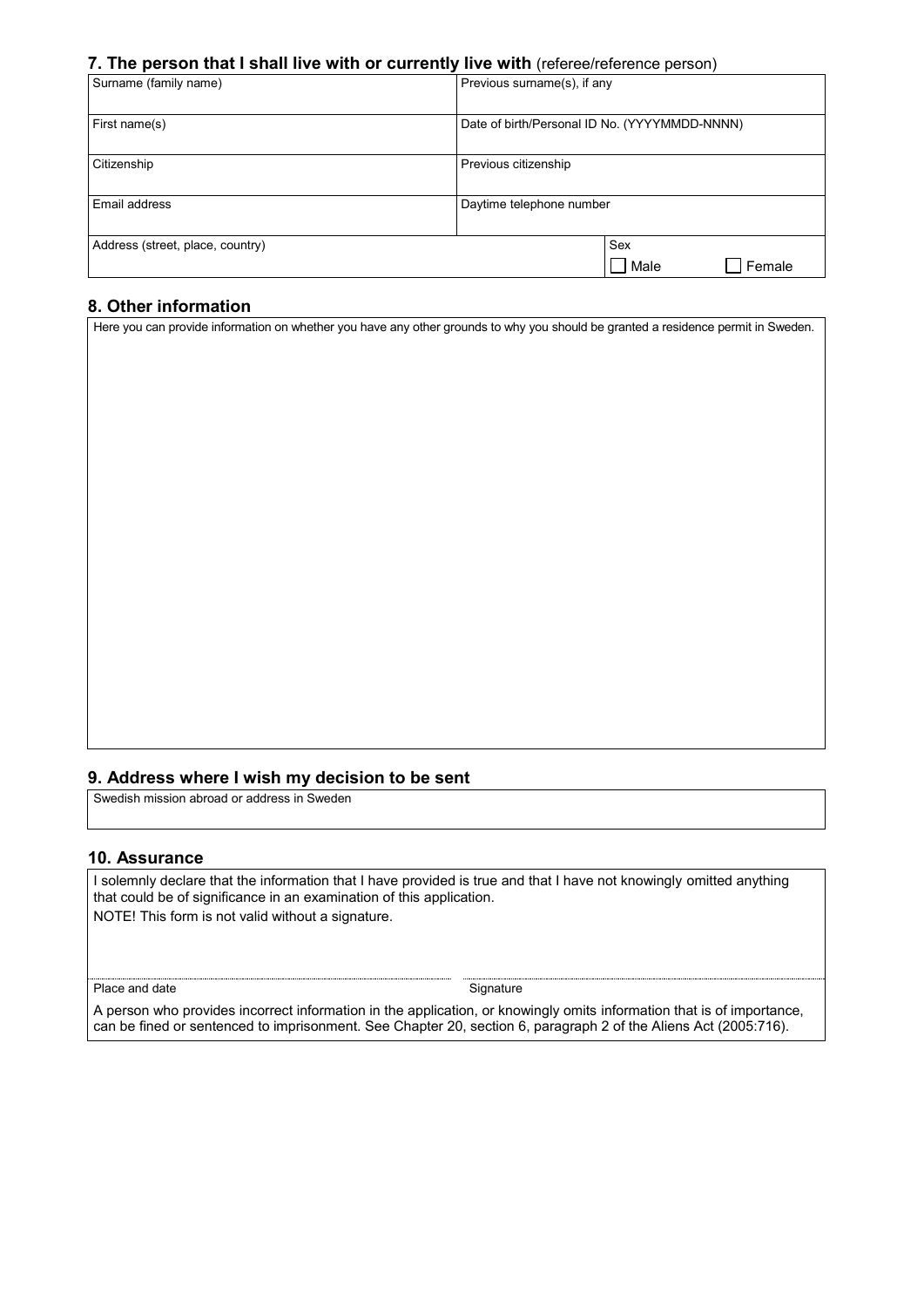#### **7. The person that I shall live with or currently live with** (referee/reference person)

| Surname (family name)            | Previous surname(s), if any                   |
|----------------------------------|-----------------------------------------------|
| First name(s)                    | Date of birth/Personal ID No. (YYYYMMDD-NNNN) |
| Citizenship                      | Previous citizenship                          |
| Email address                    | Daytime telephone number                      |
| Address (street, place, country) | Sex<br>Male<br>Female                         |

## **8. Other information**

Here you can provide information on whether you have any other grounds to why you should be granted a residence permit in Sweden.

#### **9. Address where I wish my decision to be sent**

Swedish mission abroad or address in Sweden

### **10. Assurance**

I solemnly declare that the information that I have provided is true and that I have not knowingly omitted anything that could be of significance in an examination of this application. NOTE! This form is not valid without a signature.

Place and date Signature Signature Signature

A person who provides incorrect information in the application, or knowingly omits information that is of importance, can be fined or sentenced to imprisonment. See Chapter 20, section 6, paragraph 2 of the Aliens Act (2005:716).